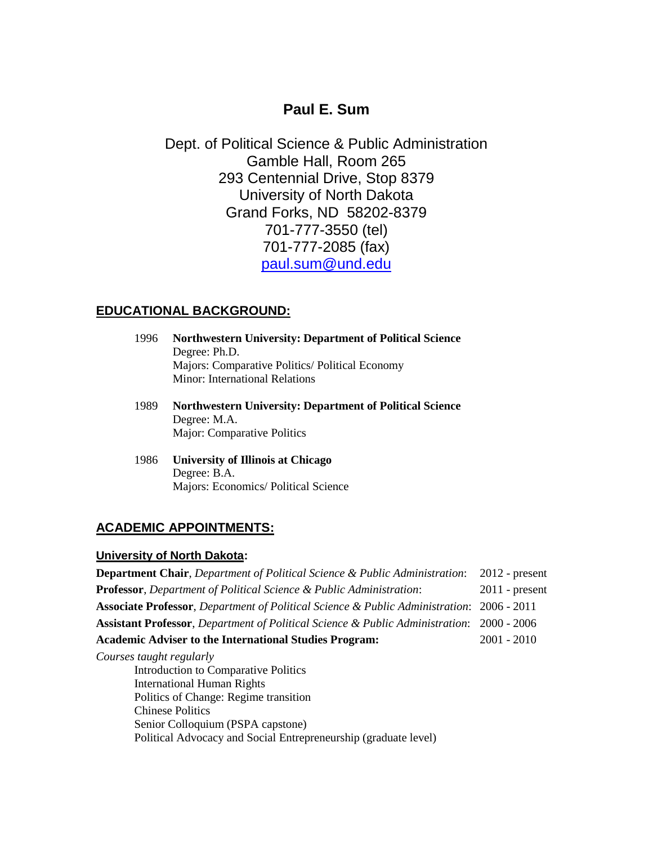# **Paul E. Sum**

Dept. of Political Science & Public Administration Gamble Hall, Room 265 293 Centennial Drive, Stop 8379 University of North Dakota Grand Forks, ND 58202-8379 701-777-3550 (tel) 701-777-2085 (fax) [paul.sum@und.edu](mailto:paul.sum@und.edu)

## **EDUCATIONAL BACKGROUND:**

- 1996 **Northwestern University: Department of Political Science** Degree: Ph.D. Majors: Comparative Politics/ Political Economy Minor: International Relations
- 1989 **Northwestern University: Department of Political Science** Degree: M.A. Major: Comparative Politics
- 1986 **University of Illinois at Chicago** Degree: B.A. Majors: Economics/ Political Science

## **ACADEMIC APPOINTMENTS:**

#### **University of North Dakota:**

**Department Chair**, *Department of Political Science & Public Administration*: 2012 - present **Professor**, *Department of Political Science & Public Administration*: 2011 - present **Associate Professor**, *Department of Political Science & Public Administration*: 2006 - 2011 **Assistant Professor**, *Department of Political Science & Public Administration*: 2000 - 2006 **Academic Adviser to the International Studies Program:** 2001 - 2010 *Courses taught regularly* Introduction to Comparative Politics International Human Rights Politics of Change: Regime transition Chinese Politics Senior Colloquium (PSPA capstone)

Political Advocacy and Social Entrepreneurship (graduate level)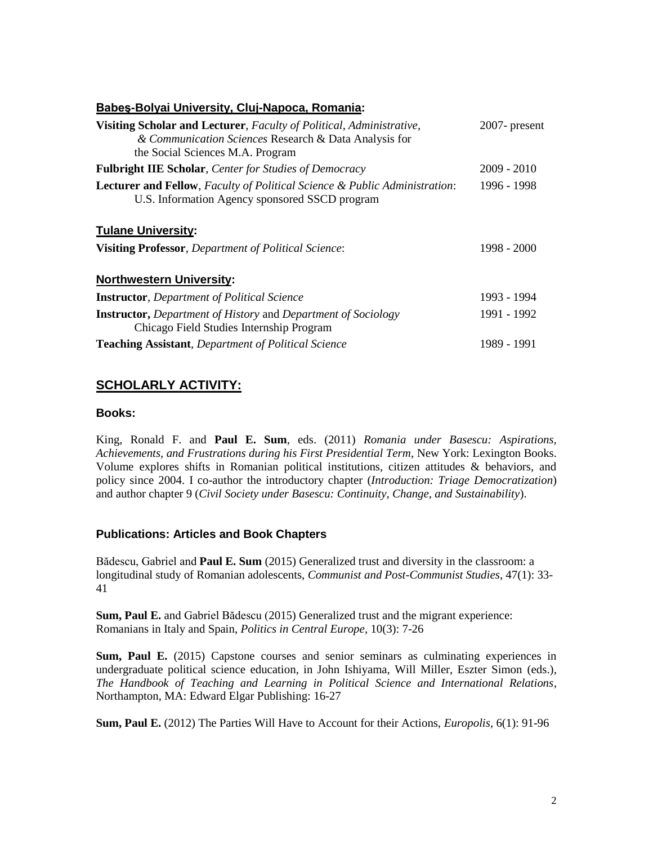#### **Babeş-Bolyai University, Cluj-Napoca, Romania:**

| Visiting Scholar and Lecturer, Faculty of Political, Administrative,<br>& Communication Sciences Research & Data Analysis for<br>the Social Sciences M.A. Program | $2007$ - present |
|-------------------------------------------------------------------------------------------------------------------------------------------------------------------|------------------|
| <b>Fulbright IIE Scholar, Center for Studies of Democracy</b>                                                                                                     | $2009 - 2010$    |
| <b>Lecturer and Fellow, Faculty of Political Science &amp; Public Administration:</b><br>U.S. Information Agency sponsored SSCD program                           | 1996 - 1998      |
| <b>Tulane University:</b>                                                                                                                                         |                  |
| Visiting Professor, Department of Political Science:                                                                                                              | 1998 - 2000      |
| <b>Northwestern University:</b>                                                                                                                                   |                  |
| <b>Instructor</b> , Department of Political Science                                                                                                               | 1993 - 1994      |
| <b>Instructor,</b> Department of History and Department of Sociology<br>Chicago Field Studies Internship Program                                                  | 1991 - 1992      |
| <b>Teaching Assistant, Department of Political Science</b>                                                                                                        | 1989 - 1991      |

## **SCHOLARLY ACTIVITY:**

#### **Books:**

King, Ronald F. and **Paul E. Sum**, eds. (2011) *Romania under Basescu: Aspirations, Achievements, and Frustrations during his First Presidential Term*, New York: Lexington Books. Volume explores shifts in Romanian political institutions, citizen attitudes & behaviors, and policy since 2004. I co-author the introductory chapter (*Introduction: Triage Democratization*) and author chapter 9 (*Civil Society under Basescu: Continuity, Change, and Sustainability*).

### **Publications: Articles and Book Chapters**

Bădescu, Gabriel and **Paul E. Sum** (2015) Generalized trust and diversity in the classroom: a longitudinal study of Romanian adolescents, *Communist and Post-Communist Studies*, 47(1): 33- 41

**Sum, Paul E.** and Gabriel Bădescu (2015) Generalized trust and the migrant experience: Romanians in Italy and Spain, *Politics in Central Europe*, 10(3): 7-26

**Sum, Paul E.** (2015) Capstone courses and senior seminars as culminating experiences in undergraduate political science education, in John Ishiyama, Will Miller, Eszter Simon (eds.), *The Handbook of Teaching and Learning in Political Science and International Relations*, Northampton, MA: Edward Elgar Publishing: 16-27

**Sum, Paul E.** (2012) The Parties Will Have to Account for their Actions, *Europolis*, 6(1): 91-96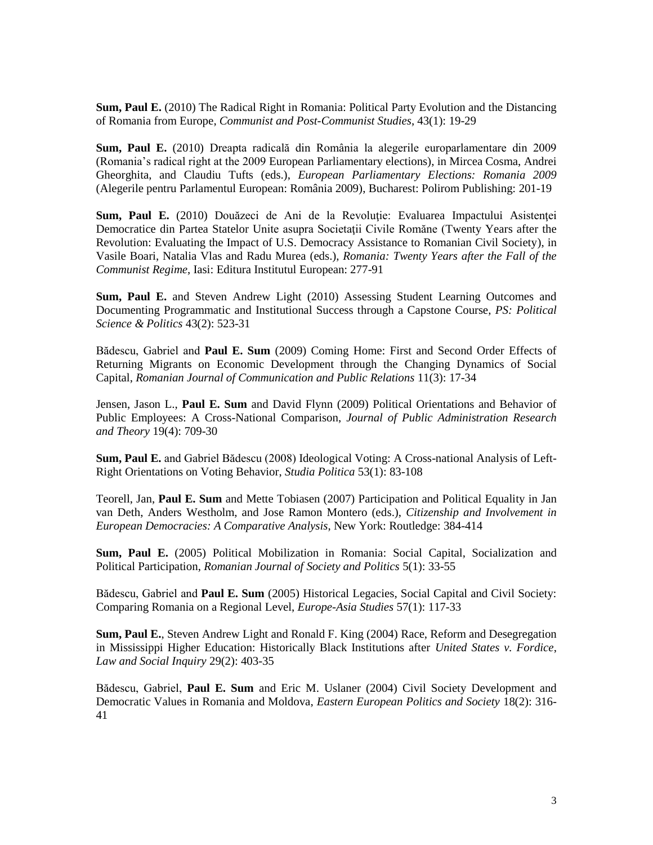**Sum, Paul E.** (2010) The Radical Right in Romania: Political Party Evolution and the Distancing of Romania from Europe, *Communist and Post-Communist Studies*, 43(1): 19-29

**Sum, Paul E.** (2010) Dreapta radicală din România la alegerile europarlamentare din 2009 (Romania's radical right at the 2009 European Parliamentary elections), in Mircea Cosma, Andrei Gheorghita, and Claudiu Tufts (eds.), *European Parliamentary Elections: Romania 2009* (Alegerile pentru Parlamentul European: România 2009), Bucharest: Polirom Publishing: 201-19

**Sum, Paul E.** (2010) Douăzeci de Ani de la Revoluţie: Evaluarea Impactului Asistenţei Democratice din Partea Statelor Unite asupra Societaţii Civile Romăne (Twenty Years after the Revolution: Evaluating the Impact of U.S. Democracy Assistance to Romanian Civil Society), in Vasile Boari, Natalia Vlas and Radu Murea (eds.), *Romania: Twenty Years after the Fall of the Communist Regime*, Iasi: Editura Institutul European: 277-91

**Sum, Paul E.** and Steven Andrew Light (2010) Assessing Student Learning Outcomes and Documenting Programmatic and Institutional Success through a Capstone Course, *PS: Political Science & Politics* 43(2): 523-31

Bădescu, Gabriel and **Paul E. Sum** (2009) Coming Home: First and Second Order Effects of Returning Migrants on Economic Development through the Changing Dynamics of Social Capital, *Romanian Journal of Communication and Public Relations* 11(3): 17-34

Jensen, Jason L., **Paul E. Sum** and David Flynn (2009) Political Orientations and Behavior of Public Employees: A Cross-National Comparison, *Journal of Public Administration Research and Theory* 19(4): 709-30

**Sum, Paul E.** and Gabriel Bădescu (2008) Ideological Voting: A Cross-national Analysis of Left-Right Orientations on Voting Behavior, *Studia Politica* 53(1): 83-108

Teorell, Jan, **Paul E. Sum** and Mette Tobiasen (2007) Participation and Political Equality in Jan van Deth, Anders Westholm, and Jose Ramon Montero (eds.), *Citizenship and Involvement in European Democracies: A Comparative Analysis*, New York: Routledge: 384-414

**Sum, Paul E.** (2005) Political Mobilization in Romania: Social Capital, Socialization and Political Participation, *Romanian Journal of Society and Politics* 5(1): 33-55

Bădescu, Gabriel and **Paul E. Sum** (2005) Historical Legacies, Social Capital and Civil Society: Comparing Romania on a Regional Level, *Europe-Asia Studies* 57(1): 117-33

**Sum, Paul E.**, Steven Andrew Light and Ronald F. King (2004) Race, Reform and Desegregation in Mississippi Higher Education: Historically Black Institutions after *United States v. Fordice*, *Law and Social Inquiry* 29(2): 403-35

Bădescu, Gabriel, **Paul E. Sum** and Eric M. Uslaner (2004) Civil Society Development and Democratic Values in Romania and Moldova, *Eastern European Politics and Society* 18(2): 316- 41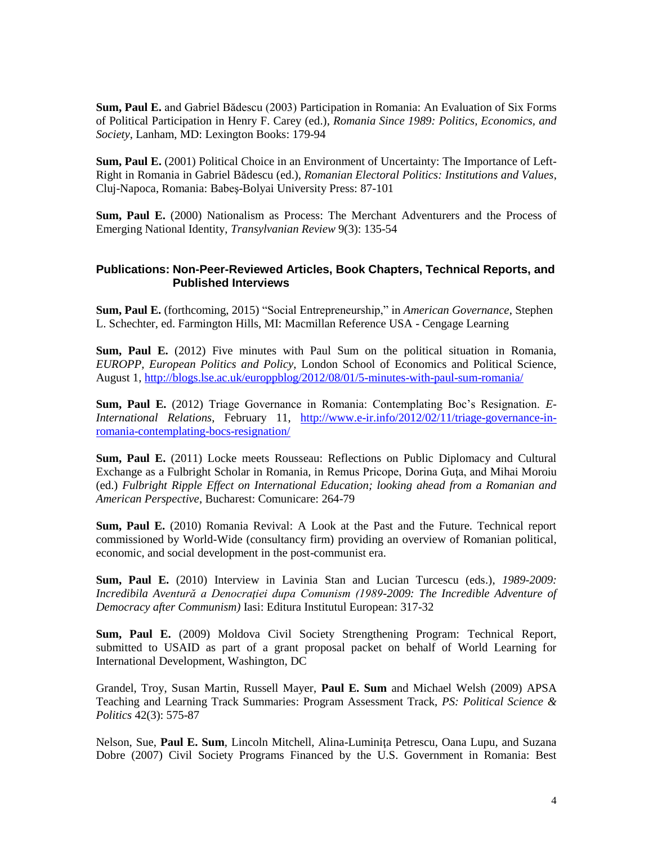**Sum, Paul E.** and Gabriel Bădescu (2003) Participation in Romania: An Evaluation of Six Forms of Political Participation in Henry F. Carey (ed.), *Romania Since 1989: Politics, Economics, and Society*, Lanham, MD: Lexington Books: 179-94

**Sum, Paul E.** (2001) Political Choice in an Environment of Uncertainty: The Importance of Left-Right in Romania in Gabriel Bădescu (ed.), *Romanian Electoral Politics: Institutions and Values*, Cluj-Napoca, Romania: Babeş-Bolyai University Press: 87-101

**Sum, Paul E.** (2000) Nationalism as Process: The Merchant Adventurers and the Process of Emerging National Identity, *Transylvanian Review* 9(3): 135-54

### **Publications: Non-Peer-Reviewed Articles, Book Chapters, Technical Reports, and Published Interviews**

**Sum, Paul E.** (forthcoming, 2015) "Social Entrepreneurship," in *American Governance*, Stephen L. Schechter, ed. Farmington Hills, MI: Macmillan Reference USA - Cengage Learning

**Sum, Paul E.** (2012) Five minutes with Paul Sum on the political situation in Romania, *EUROPP, European Politics and Policy*, London School of Economics and Political Science, August 1,<http://blogs.lse.ac.uk/europpblog/2012/08/01/5-minutes-with-paul-sum-romania/>

**Sum, Paul E.** (2012) Triage Governance in Romania: Contemplating Boc's Resignation. *E-International Relations*, February 11, [http://www.e-ir.info/2012/02/11/triage-governance-in](http://www.e-ir.info/2012/02/11/triage-governance-in-romania-contemplating-bocs-resignation/)[romania-contemplating-bocs-resignation/](http://www.e-ir.info/2012/02/11/triage-governance-in-romania-contemplating-bocs-resignation/)

**Sum, Paul E.** (2011) Locke meets Rousseau: Reflections on Public Diplomacy and Cultural Exchange as a Fulbright Scholar in Romania, in Remus Pricope, Dorina Guţa, and Mihai Moroiu (ed.) *Fulbright Ripple Effect on International Education; looking ahead from a Romanian and American Perspective*, Bucharest: Comunicare: 264-79

**Sum, Paul E.** (2010) Romania Revival: A Look at the Past and the Future. Technical report commissioned by World-Wide (consultancy firm) providing an overview of Romanian political, economic, and social development in the post-communist era.

**Sum, Paul E.** (2010) Interview in Lavinia Stan and Lucian Turcescu (eds.), *1989-2009: Incredibila Aventură a Denocraţiei dupa Comunism (1989-2009: The Incredible Adventure of Democracy after Communism)* Iasi: Editura Institutul European: 317-32

**Sum, Paul E.** (2009) Moldova Civil Society Strengthening Program: Technical Report, submitted to USAID as part of a grant proposal packet on behalf of World Learning for International Development, Washington, DC

Grandel, Troy, Susan Martin, Russell Mayer, **Paul E. Sum** and Michael Welsh (2009) APSA Teaching and Learning Track Summaries: Program Assessment Track, *PS: Political Science & Politics* 42(3): 575-87

Nelson, Sue, Paul E. Sum, Lincoln Mitchell, Alina-Luminita Petrescu, Oana Lupu, and Suzana Dobre (2007) Civil Society Programs Financed by the U.S. Government in Romania: Best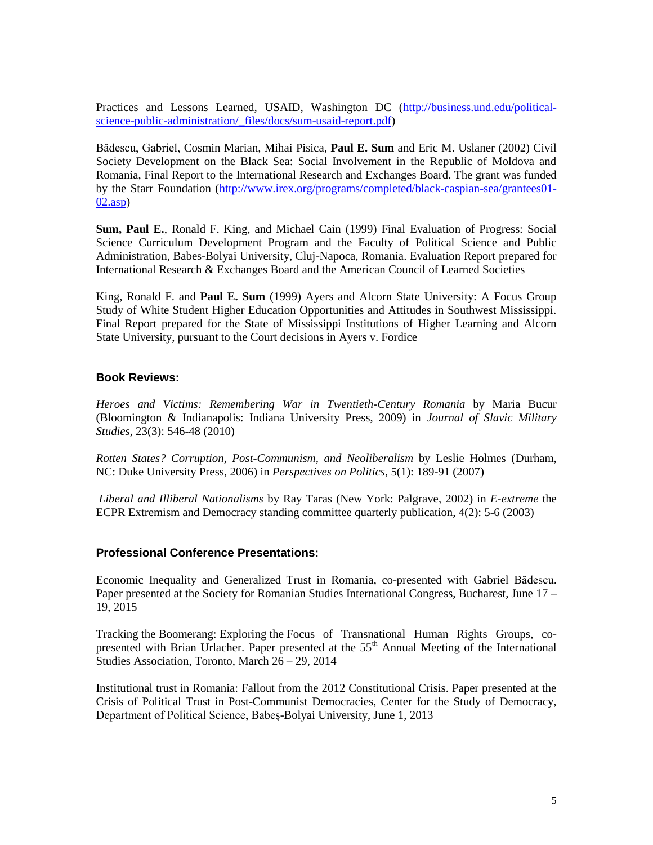Practices and Lessons Learned, USAID, Washington DC [\(http://business.und.edu/political](http://business.und.edu/political-science-public-administration/_files/docs/sum-usaid-report.pdf)science-public-administration/ files/docs/sum-usaid-report.pdf)

Bădescu, Gabriel, Cosmin Marian, Mihai Pisica, **Paul E. Sum** and Eric M. Uslaner (2002) Civil Society Development on the Black Sea: Social Involvement in the Republic of Moldova and Romania, Final Report to the International Research and Exchanges Board. The grant was funded by the Starr Foundation [\(http://www.irex.org/programs/completed/black-caspian-sea/grantees01-](http://www.irex.org/programs/completed/black-caspian-sea/grantees01-02.asp) [02.asp\)](http://www.irex.org/programs/completed/black-caspian-sea/grantees01-02.asp)

**Sum, Paul E.**, Ronald F. King, and Michael Cain (1999) Final Evaluation of Progress: Social Science Curriculum Development Program and the Faculty of Political Science and Public Administration, Babes-Bolyai University, Cluj-Napoca, Romania. Evaluation Report prepared for International Research & Exchanges Board and the American Council of Learned Societies

King, Ronald F. and **Paul E. Sum** (1999) Ayers and Alcorn State University: A Focus Group Study of White Student Higher Education Opportunities and Attitudes in Southwest Mississippi. Final Report prepared for the State of Mississippi Institutions of Higher Learning and Alcorn State University, pursuant to the Court decisions in Ayers v. Fordice

#### **Book Reviews:**

*Heroes and Victims: Remembering War in Twentieth-Century Romania* by Maria Bucur (Bloomington & Indianapolis: Indiana University Press, 2009) in *Journal of Slavic Military Studies*, 23(3): 546-48 (2010)

*Rotten States? Corruption, Post-Communism, and Neoliberalism* by Leslie Holmes (Durham, NC: Duke University Press, 2006) in *Perspectives on Politics*, 5(1): 189-91 (2007)

*Liberal and Illiberal Nationalisms* by Ray Taras (New York: Palgrave, 2002) in *E-extreme* the ECPR Extremism and Democracy standing committee quarterly publication, 4(2): 5-6 (2003)

#### **Professional Conference Presentations:**

Economic Inequality and Generalized Trust in Romania, co-presented with Gabriel Bădescu. Paper presented at the Society for Romanian Studies International Congress, Bucharest, June 17 – 19, 2015

Tracking the Boomerang: Exploring the Focus of Transnational Human Rights Groups, copresented with Brian Urlacher. Paper presented at the 55<sup>th</sup> Annual Meeting of the International Studies Association, Toronto, March 26 – 29, 2014

Institutional trust in Romania: Fallout from the 2012 Constitutional Crisis. Paper presented at the Crisis of Political Trust in Post-Communist Democracies, Center for the Study of Democracy, Department of Political Science, Babeş-Bolyai University, June 1, 2013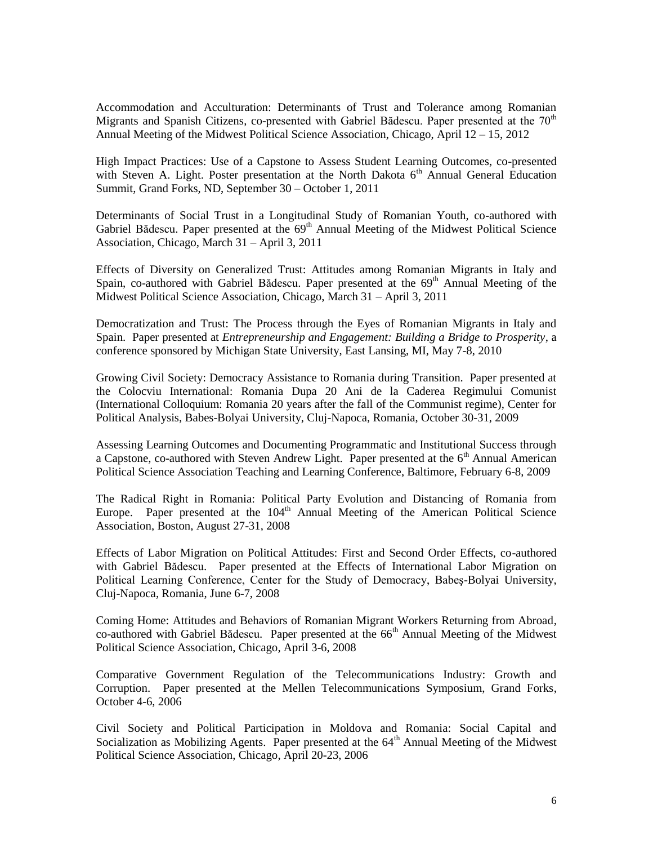Accommodation and Acculturation: Determinants of Trust and Tolerance among Romanian Migrants and Spanish Citizens, co-presented with Gabriel Bădescu. Paper presented at the  $70<sup>th</sup>$ Annual Meeting of the Midwest Political Science Association, Chicago, April 12 – 15, 2012

High Impact Practices: Use of a Capstone to Assess Student Learning Outcomes, co-presented with Steven A. Light. Poster presentation at the North Dakota  $6<sup>th</sup>$  Annual General Education Summit, Grand Forks, ND, September 30 – October 1, 2011

Determinants of Social Trust in a Longitudinal Study of Romanian Youth, co-authored with Gabriel Bădescu. Paper presented at the 69<sup>th</sup> Annual Meeting of the Midwest Political Science Association, Chicago, March 31 – April 3, 2011

Effects of Diversity on Generalized Trust: Attitudes among Romanian Migrants in Italy and Spain, co-authored with Gabriel Bădescu. Paper presented at the  $69<sup>th</sup>$  Annual Meeting of the Midwest Political Science Association, Chicago, March 31 – April 3, 2011

Democratization and Trust: The Process through the Eyes of Romanian Migrants in Italy and Spain. Paper presented at *Entrepreneurship and Engagement: Building a Bridge to Prosperity*, a conference sponsored by Michigan State University, East Lansing, MI, May 7-8, 2010

Growing Civil Society: Democracy Assistance to Romania during Transition. Paper presented at the Colocviu International: Romania Dupa 20 Ani de la Caderea Regimului Comunist (International Colloquium: Romania 20 years after the fall of the Communist regime), Center for Political Analysis, Babes-Bolyai University, Cluj-Napoca, Romania, October 30-31, 2009

Assessing Learning Outcomes and Documenting Programmatic and Institutional Success through a Capstone, co-authored with Steven Andrew Light. Paper presented at the  $6<sup>th</sup>$  Annual American Political Science Association Teaching and Learning Conference, Baltimore, February 6-8, 2009

The Radical Right in Romania: Political Party Evolution and Distancing of Romania from Europe. Paper presented at the  $104<sup>th</sup>$  Annual Meeting of the American Political Science Association, Boston, August 27-31, 2008

Effects of Labor Migration on Political Attitudes: First and Second Order Effects, co-authored with Gabriel Bădescu. Paper presented at the Effects of International Labor Migration on Political Learning Conference, Center for the Study of Democracy, Babeş-Bolyai University, Cluj-Napoca, Romania, June 6-7, 2008

Coming Home: Attitudes and Behaviors of Romanian Migrant Workers Returning from Abroad, co-authored with Gabriel Bădescu. Paper presented at the 66<sup>th</sup> Annual Meeting of the Midwest Political Science Association, Chicago, April 3-6, 2008

Comparative Government Regulation of the Telecommunications Industry: Growth and Corruption. Paper presented at the Mellen Telecommunications Symposium, Grand Forks, October 4-6, 2006

Civil Society and Political Participation in Moldova and Romania: Social Capital and Socialization as Mobilizing Agents. Paper presented at the 64<sup>th</sup> Annual Meeting of the Midwest Political Science Association, Chicago, April 20-23, 2006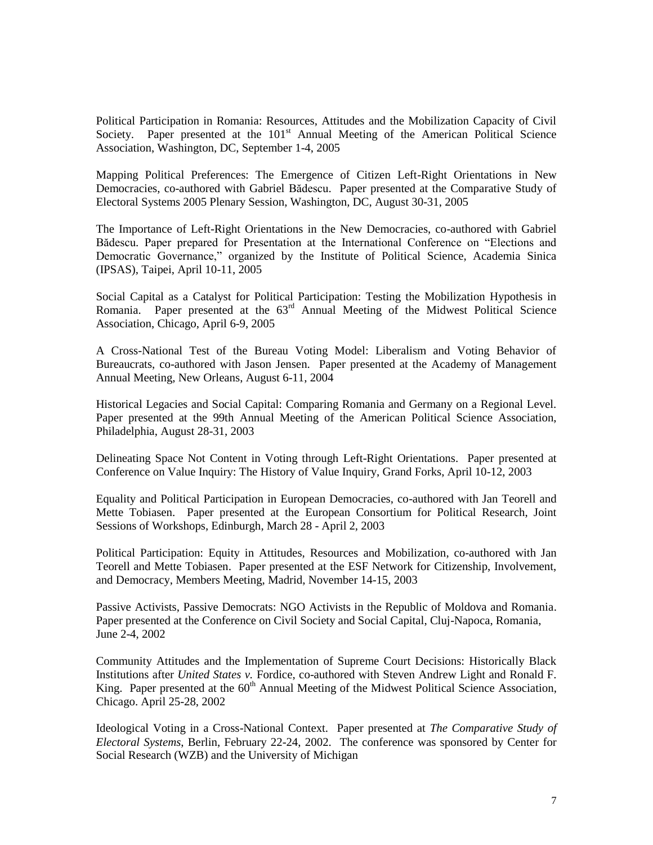Political Participation in Romania: Resources, Attitudes and the Mobilization Capacity of Civil Society. Paper presented at the 101<sup>st</sup> Annual Meeting of the American Political Science Association, Washington, DC, September 1-4, 2005

Mapping Political Preferences: The Emergence of Citizen Left-Right Orientations in New Democracies, co-authored with Gabriel Bădescu. Paper presented at the Comparative Study of Electoral Systems 2005 Plenary Session, Washington, DC, August 30-31, 2005

The Importance of Left-Right Orientations in the New Democracies, co-authored with Gabriel Bădescu. Paper prepared for Presentation at the International Conference on "Elections and Democratic Governance," organized by the Institute of Political Science, Academia Sinica (IPSAS), Taipei, April 10-11, 2005

Social Capital as a Catalyst for Political Participation: Testing the Mobilization Hypothesis in Romania. Paper presented at the 63<sup>rd</sup> Annual Meeting of the Midwest Political Science Association, Chicago, April 6-9, 2005

A Cross-National Test of the Bureau Voting Model: Liberalism and Voting Behavior of Bureaucrats, co-authored with Jason Jensen. Paper presented at the Academy of Management Annual Meeting, New Orleans, August 6-11, 2004

Historical Legacies and Social Capital: Comparing Romania and Germany on a Regional Level. Paper presented at the 99th Annual Meeting of the American Political Science Association, Philadelphia, August 28-31, 2003

Delineating Space Not Content in Voting through Left-Right Orientations. Paper presented at Conference on Value Inquiry: The History of Value Inquiry, Grand Forks, April 10-12, 2003

Equality and Political Participation in European Democracies, co-authored with Jan Teorell and Mette Tobiasen. Paper presented at the European Consortium for Political Research, Joint Sessions of Workshops, Edinburgh, March 28 - April 2, 2003

Political Participation: Equity in Attitudes, Resources and Mobilization, co-authored with Jan Teorell and Mette Tobiasen. Paper presented at the ESF Network for Citizenship, Involvement, and Democracy, Members Meeting, Madrid, November 14-15, 2003

Passive Activists, Passive Democrats: NGO Activists in the Republic of Moldova and Romania. Paper presented at the Conference on Civil Society and Social Capital, Cluj-Napoca, Romania, June 2-4, 2002

Community Attitudes and the Implementation of Supreme Court Decisions: Historically Black Institutions after *United States v.* Fordice, co-authored with Steven Andrew Light and Ronald F. King. Paper presented at the 60<sup>th</sup> Annual Meeting of the Midwest Political Science Association, Chicago. April 25-28, 2002

Ideological Voting in a Cross-National Context. Paper presented at *The Comparative Study of Electoral Systems*, Berlin, February 22-24, 2002. The conference was sponsored by Center for Social Research (WZB) and the University of Michigan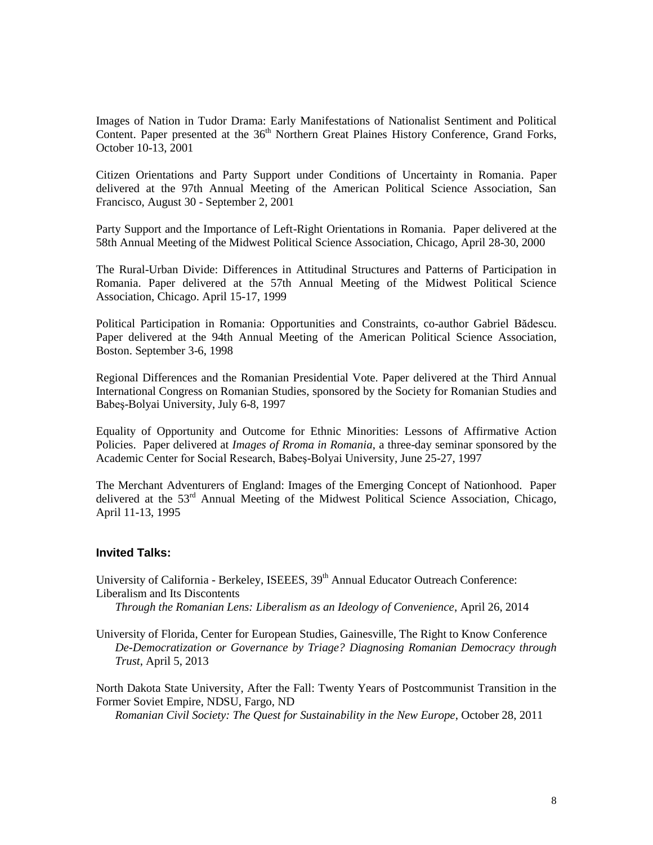Images of Nation in Tudor Drama: Early Manifestations of Nationalist Sentiment and Political Content. Paper presented at the 36<sup>th</sup> Northern Great Plaines History Conference, Grand Forks, October 10-13, 2001

Citizen Orientations and Party Support under Conditions of Uncertainty in Romania. Paper delivered at the 97th Annual Meeting of the American Political Science Association, San Francisco, August 30 - September 2, 2001

Party Support and the Importance of Left-Right Orientations in Romania. Paper delivered at the 58th Annual Meeting of the Midwest Political Science Association, Chicago, April 28-30, 2000

The Rural-Urban Divide: Differences in Attitudinal Structures and Patterns of Participation in Romania. Paper delivered at the 57th Annual Meeting of the Midwest Political Science Association, Chicago. April 15-17, 1999

Political Participation in Romania: Opportunities and Constraints, co-author Gabriel Bădescu. Paper delivered at the 94th Annual Meeting of the American Political Science Association, Boston. September 3-6, 1998

Regional Differences and the Romanian Presidential Vote. Paper delivered at the Third Annual International Congress on Romanian Studies, sponsored by the Society for Romanian Studies and Babeş-Bolyai University, July 6-8, 1997

Equality of Opportunity and Outcome for Ethnic Minorities: Lessons of Affirmative Action Policies. Paper delivered at *Images of Rroma in Romania*, a three-day seminar sponsored by the Academic Center for Social Research, Babeş-Bolyai University, June 25-27, 1997

The Merchant Adventurers of England: Images of the Emerging Concept of Nationhood. Paper delivered at the  $53<sup>rd</sup>$  Annual Meeting of the Midwest Political Science Association, Chicago, April 11-13, 1995

#### **Invited Talks:**

University of California - Berkeley, ISEEES, 39<sup>th</sup> Annual Educator Outreach Conference: Liberalism and Its Discontents

*Through the Romanian Lens: Liberalism as an Ideology of Convenience*, April 26, 2014

University of Florida, Center for European Studies, Gainesville, The Right to Know Conference *De-Democratization or Governance by Triage? Diagnosing Romanian Democracy through Trust*, April 5, 2013

North Dakota State University, After the Fall: Twenty Years of Postcommunist Transition in the Former Soviet Empire, NDSU, Fargo, ND

*Romanian Civil Society: The Quest for Sustainability in the New Europe*, October 28, 2011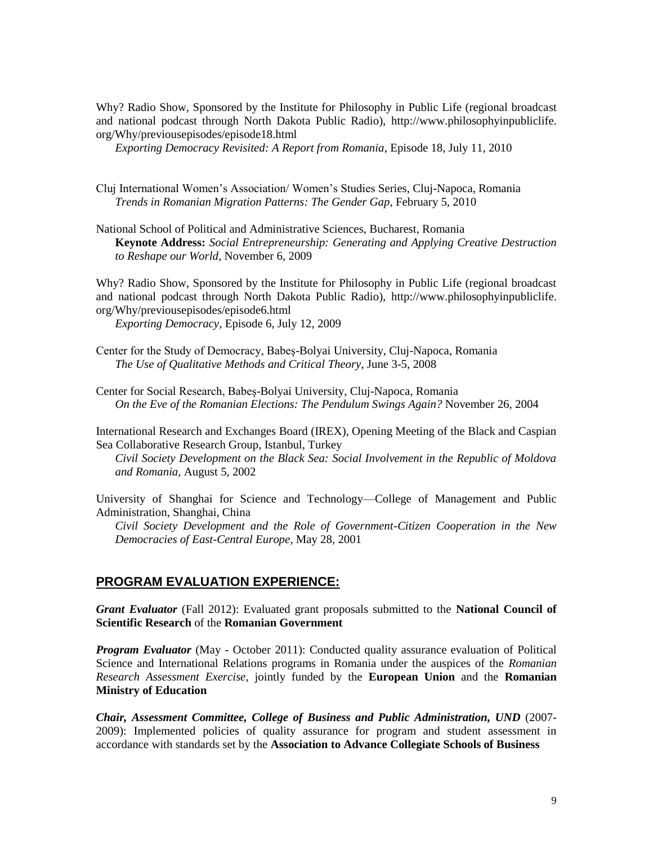Why? Radio Show, Sponsored by the Institute for Philosophy in Public Life (regional broadcast and national podcast through North Dakota Public Radio), http://www.philosophyinpubliclife. org/Why/previousepisodes/episode18.html

*Exporting Democracy Revisited: A Report from Romania*, Episode 18, July 11, 2010

Cluj International Women's Association/ Women's Studies Series, Cluj-Napoca, Romania *Trends in Romanian Migration Patterns: The Gender Gap*, February 5, 2010

National School of Political and Administrative Sciences, Bucharest, Romania **Keynote Address:** *Social Entrepreneurship: Generating and Applying Creative Destruction to Reshape our World*, November 6, 2009

Why? Radio Show, Sponsored by the Institute for Philosophy in Public Life (regional broadcast and national podcast through North Dakota Public Radio), http://www.philosophyinpubliclife. org/Why/previousepisodes/episode6.html

*Exporting Democracy*, Episode 6, July 12, 2009

Center for the Study of Democracy, Babeş-Bolyai University, Cluj-Napoca, Romania *The Use of Qualitative Methods and Critical Theory*, June 3-5, 2008

Center for Social Research, Babeş-Bolyai University, Cluj-Napoca, Romania *On the Eve of the Romanian Elections: The Pendulum Swings Again?* November 26, 2004

International Research and Exchanges Board (IREX), Opening Meeting of the Black and Caspian Sea Collaborative Research Group, Istanbul, Turkey

*Civil Society Development on the Black Sea: Social Involvement in the Republic of Moldova and Romania*, August 5, 2002

University of Shanghai for Science and Technology—College of Management and Public Administration, Shanghai, China

*Civil Society Development and the Role of Government-Citizen Cooperation in the New Democracies of East-Central Europe*, May 28, 2001

#### **PROGRAM EVALUATION EXPERIENCE:**

*Grant Evaluator* (Fall 2012): Evaluated grant proposals submitted to the **National Council of Scientific Research** of the **Romanian Government**

*Program Evaluator* (May - October 2011): Conducted quality assurance evaluation of Political Science and International Relations programs in Romania under the auspices of the *Romanian Research Assessment Exercise*, jointly funded by the **European Union** and the **Romanian Ministry of Education**

*Chair, Assessment Committee, College of Business and Public Administration, UND* (2007- 2009): Implemented policies of quality assurance for program and student assessment in accordance with standards set by the **Association to Advance Collegiate Schools of Business**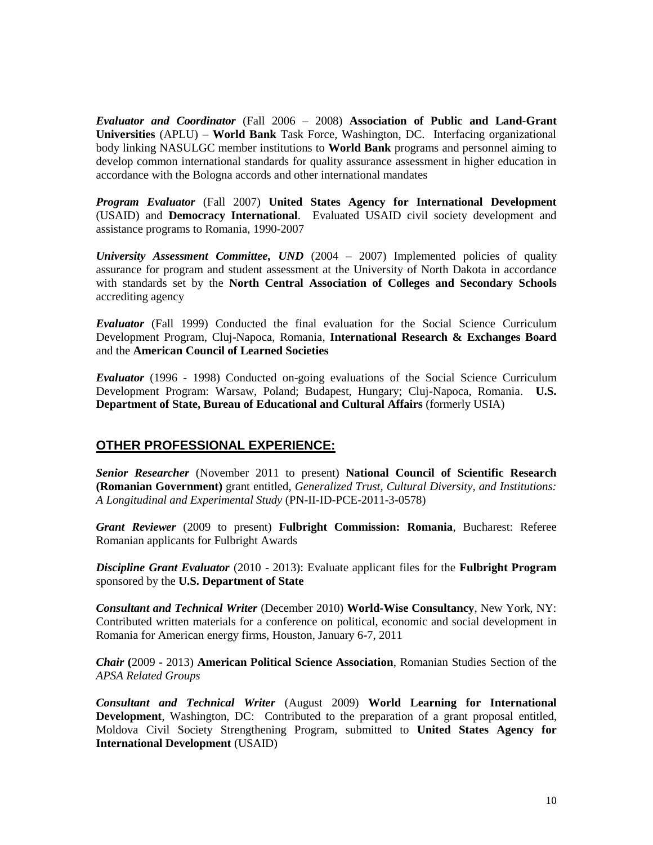*Evaluator and Coordinator* (Fall 2006 – 2008) **Association of Public and Land-Grant Universities** (APLU) – **World Bank** Task Force, Washington, DC. Interfacing organizational body linking NASULGC member institutions to **World Bank** programs and personnel aiming to develop common international standards for quality assurance assessment in higher education in accordance with the Bologna accords and other international mandates

*Program Evaluator* (Fall 2007) **United States Agency for International Development** (USAID) and **Democracy International**. Evaluated USAID civil society development and assistance programs to Romania, 1990-2007

*University Assessment Committee, UND* (2004 – 2007) Implemented policies of quality assurance for program and student assessment at the University of North Dakota in accordance with standards set by the **North Central Association of Colleges and Secondary Schools** accrediting agency

*Evaluator* (Fall 1999) Conducted the final evaluation for the Social Science Curriculum Development Program, Cluj-Napoca, Romania*,* **International Research & Exchanges Board** and the **American Council of Learned Societies**

*Evaluator* (1996 - 1998) Conducted on-going evaluations of the Social Science Curriculum Development Program: Warsaw, Poland; Budapest, Hungary; Cluj-Napoca, Romania. **U.S. Department of State, Bureau of Educational and Cultural Affairs** (formerly USIA)

## **OTHER PROFESSIONAL EXPERIENCE:**

*Senior Researcher* (November 2011 to present) **National Council of Scientific Research (Romanian Government)** grant entitled, *Generalized Trust, Cultural Diversity, and Institutions: A Longitudinal and Experimental Study* (PN-II-ID-PCE-2011-3-0578)

*Grant Reviewer* (2009 to present) **Fulbright Commission: Romania**, Bucharest: Referee Romanian applicants for Fulbright Awards

*Discipline Grant Evaluator* (2010 - 2013): Evaluate applicant files for the **Fulbright Program** sponsored by the **U.S. Department of State**

*Consultant and Technical Writer* (December 2010) **World-Wise Consultancy**, New York, NY: Contributed written materials for a conference on political, economic and social development in Romania for American energy firms, Houston, January 6-7, 2011

*Chair* **(**2009 - 2013) **American Political Science Association**, Romanian Studies Section of the *APSA Related Groups*

*Consultant and Technical Writer* (August 2009) **World Learning for International Development**, Washington, DC: Contributed to the preparation of a grant proposal entitled, Moldova Civil Society Strengthening Program, submitted to **United States Agency for International Development** (USAID)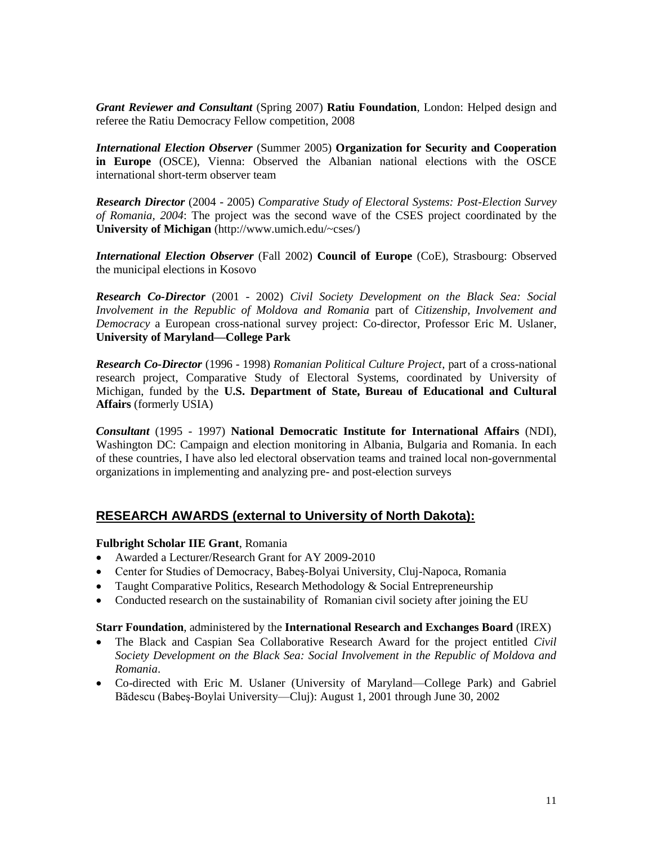*Grant Reviewer and Consultant* (Spring 2007) **Ratiu Foundation**, London: Helped design and referee the Ratiu Democracy Fellow competition, 2008

*International Election Observer* (Summer 2005) **Organization for Security and Cooperation in Europe** (OSCE), Vienna: Observed the Albanian national elections with the OSCE international short-term observer team

*Research Director* (2004 - 2005) *Comparative Study of Electoral Systems: Post-Election Survey of Romania, 2004*: The project was the second wave of the CSES project coordinated by the **University of Michigan** (http://www.umich.edu/~cses/)

*International Election Observer* (Fall 2002) **Council of Europe** (CoE), Strasbourg: Observed the municipal elections in Kosovo

*Research Co-Director* (2001 - 2002) *Civil Society Development on the Black Sea: Social Involvement in the Republic of Moldova and Romania* part of *Citizenship, Involvement and Democracy* a European cross-national survey project: Co-director, Professor Eric M. Uslaner, **University of Maryland—College Park**

*Research Co-Director* (1996 - 1998) *Romanian Political Culture Project*, part of a cross-national research project, Comparative Study of Electoral Systems, coordinated by University of Michigan, funded by the **U.S. Department of State, Bureau of Educational and Cultural Affairs** (formerly USIA)

*Consultant* (1995 - 1997) **National Democratic Institute for International Affairs** (NDI), Washington DC: Campaign and election monitoring in Albania, Bulgaria and Romania. In each of these countries, I have also led electoral observation teams and trained local non-governmental organizations in implementing and analyzing pre- and post-election surveys

### **RESEARCH AWARDS (external to University of North Dakota):**

#### **Fulbright Scholar IIE Grant**, Romania

- Awarded a Lecturer/Research Grant for AY 2009-2010
- Center for Studies of Democracy, Babeş-Bolyai University, Cluj-Napoca, Romania
- Taught Comparative Politics, Research Methodology  $& Social Enterprise$
- Conducted research on the sustainability of Romanian civil society after joining the EU

#### **Starr Foundation**, administered by the **International Research and Exchanges Board** (IREX)

- The Black and Caspian Sea Collaborative Research Award for the project entitled *Civil Society Development on the Black Sea: Social Involvement in the Republic of Moldova and Romania*.
- Co-directed with Eric M. Uslaner (University of Maryland—College Park) and Gabriel Bădescu (Babeş-Boylai University—Cluj): August 1, 2001 through June 30, 2002